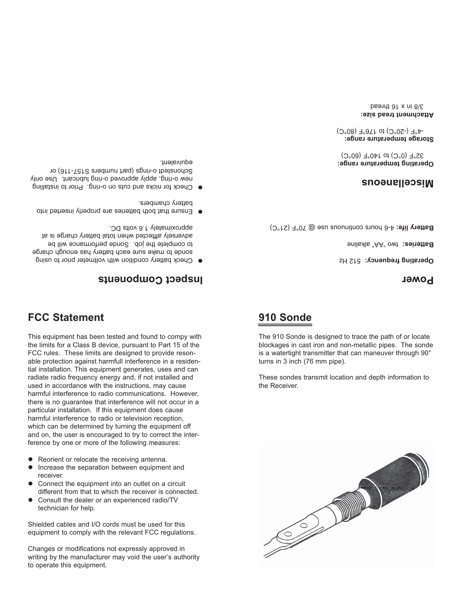Changes or modifications not expressly approved in writing by the manufacturer may void the user's authority to operate this equipment.

 receiver. Connect the equipment into an outlet on a circuit different from that to which the receiver is connected.

l Consult the dealer or an experienced radio/TV

Shielded cables and I/O cords must be used for this equipment to comply with the relevant FCC regulations.

- 
- 
- 
- 
- 
- l Increase the separation between equipment and
- 
- Reorient or relocate the receiving antenna.
- ference by one or more of the following measures:

the limits for a Class B device, pursuant to Part 15 of the FCC rules. These limits are designed to provide resonable protection against harmfull interference in a residential installation. This equipment generates, uses and can radiate radio frequency energy and, if not installed and used in accordance with the instructions, may cause harmful interference to radio communications. However, there is no guarantee that interference will not occur in a particular installation. If this equipment does cause harmful interference to radio or television reception, which can be determined by turning the equipment off and on, the user is encouraged to try to correct the inter-

This equipment has been tested and found to compy with

## **FCC Statement**

technician for help.

## **Inspect Components**

- Check battery condition with voltmeter prior to using l sonde to make sure each battery has enough charge to complete the job. Sonde performance will be adversely afftected when total battery charge is at approximately 1.6 volts DC.
- Ensure that both batteries are properly inserted into l battery chambers.
- Check for nicks and cuts on o-ring. Prior to installing l new o-ring, apply approved o-ring lubricant. Use only Schonstedt o-rings (part numbers S157-116) or ednivalent.



These sondes transmit location and depth information to the Receiver.

# **910 Sonde**

### The 910 Sonde is designed to trace the path of or locate blockages in cast iron and non-metallic pipes. The sonde is a watertight transmitter that can maneuver through 90°

turns in 3 inch (76 mm pipe).

#### **Power**

Operating frequency: 512 Hz

Batteries: two "AA" alkaline

Battery life: 4-6 hours continuous use @ 70°F (21°C)

#### **Miscellaneous**

**Operating temperature range:** 32°F (0°C) to 140°F (60°C)

**Storage temperature range:** -4°F (-20°C) to 176°F (80°C)

**Attachment tread size:** 3/8 in x 16 thread